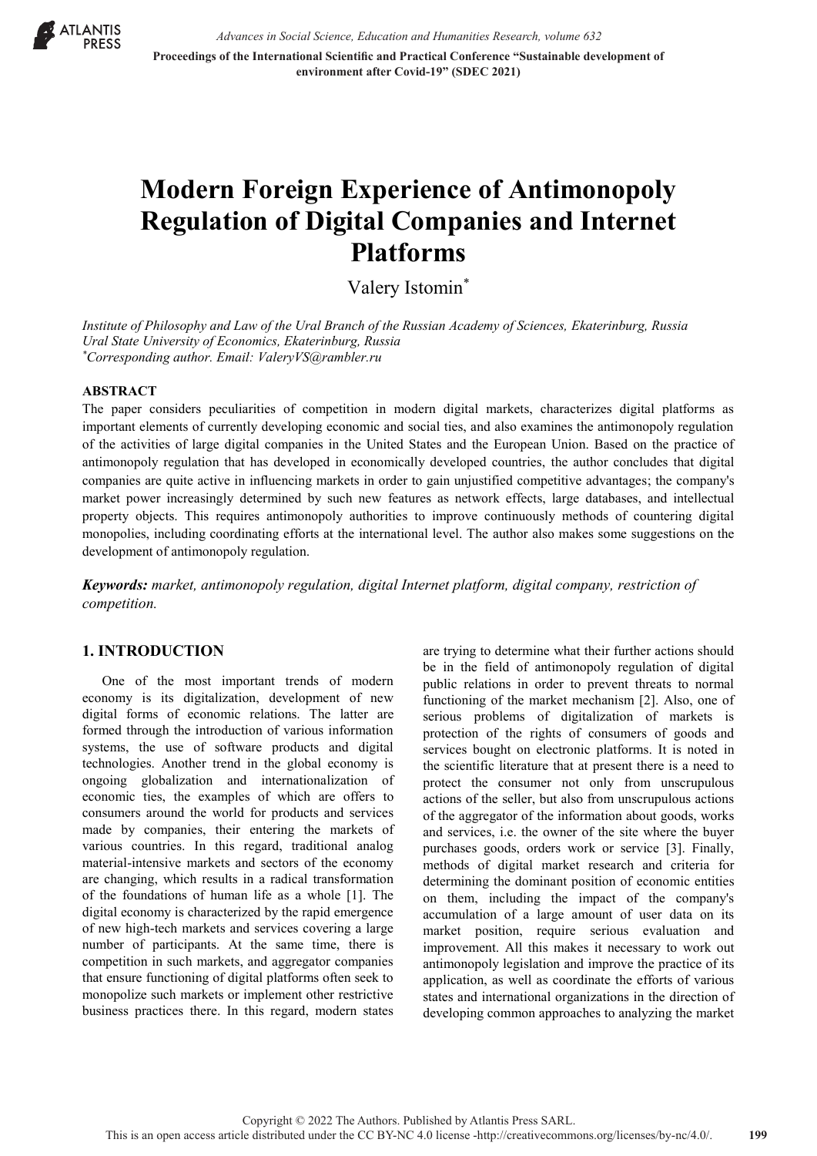

*Advances in Social Science, Education and Humanities Research, volume 632* **Proceedings of the International Scientific and Practical Conference "Sustainable development of environment after Covid-19" (SDEC 2021)**

# **Modern Foreign Experience of Antimonopoly Regulation of Digital Companies and Internet Platforms**

Valery Istomin\*

*Institute of Philosophy and Law of the Ural Branch of the Russian Academy of Sciences, Ekaterinburg, Russia Ural State University of Economics, Ekaterinburg, Russia \* Corresponding author. Email: ValeryVS@rambler.ru*

#### **ABSTRACT**

The paper considers peculiarities of competition in modern digital markets, characterizes digital platforms as important elements of currently developing economic and social ties, and also examines the antimonopoly regulation of the activities of large digital companies in the United States and the European Union. Based on the practice of antimonopoly regulation that has developed in economically developed countries, the author concludes that digital companies are quite active in influencing markets in order to gain unjustified competitive advantages; the company's market power increasingly determined by such new features as network effects, large databases, and intellectual property objects. This requires antimonopoly authorities to improve continuously methods of countering digital monopolies, including coordinating efforts at the international level. The author also makes some suggestions on the development of antimonopoly regulation.

*Keywords: market, antimonopoly regulation, digital Internet platform, digital company, restriction of competition.*

#### **1. INTRODUCTION**

One of the most important trends of modern economy is its digitalization, development of new digital forms of economic relations. The latter are formed through the introduction of various information systems, the use of software products and digital technologies. Another trend in the global economy is ongoing globalization and internationalization of economic ties, the examples of which are offers to consumers around the world for products and services made by companies, their entering the markets of various countries. In this regard, traditional analog material-intensive markets and sectors of the economy are changing, which results in a radical transformation of the foundations of human life as a whole [1]. The digital economy is characterized by the rapid emergence of new high-tech markets and services covering a large number of participants. At the same time, there is competition in such markets, and aggregator companies that ensure functioning of digital platforms often seek to monopolize such markets or implement other restrictive business practices there. In this regard, modern states

are trying to determine what their further actions should be in the field of antimonopoly regulation of digital public relations in order to prevent threats to normal functioning of the market mechanism [2]. Also, one of serious problems of digitalization of markets is protection of the rights of consumers of goods and services bought on electronic platforms. It is noted in the scientific literature that at present there is a need to protect the consumer not only from unscrupulous actions of the seller, but also from unscrupulous actions of the aggregator of the information about goods, works and services, i.e. the owner of the site where the buyer purchases goods, orders work or service [3]. Finally, methods of digital market research and criteria for determining the dominant position of economic entities on them, including the impact of the company's accumulation of a large amount of user data on its market position, require serious evaluation and improvement. All this makes it necessary to work out antimonopoly legislation and improve the practice of its application, as well as coordinate the efforts of various states and international organizations in the direction of developing common approaches to analyzing the market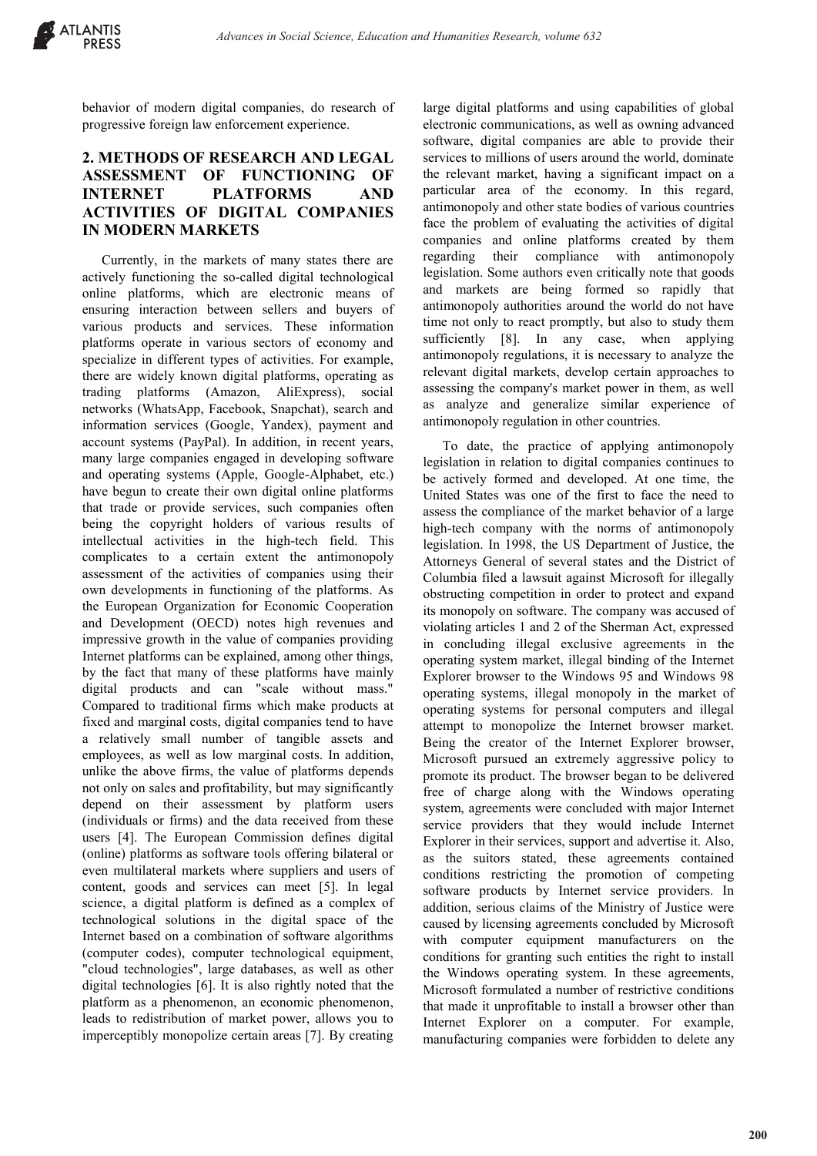behavior of modern digital companies, do research of progressive foreign law enforcement experience.

## **2. METHODS OF RESEARCH AND LEGAL ASSESSMENT OF FUNCTIONING OF INTERNET PLATFORMS AND ACTIVITIES OF DIGITAL COMPANIES IN MODERN MARKETS**

Currently, in the markets of many states there are actively functioning the so-called digital technological online platforms, which are electronic means of ensuring interaction between sellers and buyers of various products and services. These information platforms operate in various sectors of economy and specialize in different types of activities. For example, there are widely known digital platforms, operating as trading platforms (Amazon, AliExpress), social networks (WhatsApp, Facebook, Snapchat), search and information services (Google, Yandex), payment and account systems (PayPal). In addition, in recent years, many large companies engaged in developing software and operating systems (Apple, Google-Alphabet, etc.) have begun to create their own digital online platforms that trade or provide services, such companies often being the copyright holders of various results of intellectual activities in the high-tech field. This complicates to a certain extent the antimonopoly assessment of the activities of companies using their own developments in functioning of the platforms. As the European Organization for Economic Cooperation and Development (OECD) notes high revenues and impressive growth in the value of companies providing Internet platforms can be explained, among other things, by the fact that many of these platforms have mainly digital products and can "scale without mass." Compared to traditional firms which make products at fixed and marginal costs, digital companies tend to have a relatively small number of tangible assets and employees, as well as low marginal costs. In addition, unlike the above firms, the value of platforms depends not only on sales and profitability, but may significantly depend on their assessment by platform users (individuals or firms) and the data received from these users [4]. The European Commission defines digital (online) platforms as software tools offering bilateral or even multilateral markets where suppliers and users of content, goods and services can meet [5]. In legal science, a digital platform is defined as a complex of technological solutions in the digital space of the Internet based on a combination of software algorithms (computer codes), computer technological equipment, "cloud technologies", large databases, as well as other digital technologies [6]. It is also rightly noted that the platform as a phenomenon, an economic phenomenon, leads to redistribution of market power, allows you to imperceptibly monopolize certain areas [7]. By creating

large digital platforms and using capabilities of global electronic communications, as well as owning advanced software, digital companies are able to provide their services to millions of users around the world, dominate the relevant market, having a significant impact on a particular area of the economy. In this regard, antimonopoly and other state bodies of various countries face the problem of evaluating the activities of digital companies and online platforms created by them regarding their compliance with antimonopoly legislation. Some authors even critically note that goods and markets are being formed so rapidly that antimonopoly authorities around the world do not have time not only to react promptly, but also to study them sufficiently [8]. In any case, when applying antimonopoly regulations, it is necessary to analyze the relevant digital markets, develop certain approaches to assessing the company's market power in them, as well as analyze and generalize similar experience of antimonopoly regulation in other countries.

To date, the practice of applying antimonopoly legislation in relation to digital companies continues to be actively formed and developed. At one time, the United States was one of the first to face the need to assess the compliance of the market behavior of a large high-tech company with the norms of antimonopoly legislation. In 1998, the US Department of Justice, the Attorneys General of several states and the District of Columbia filed a lawsuit against Microsoft for illegally obstructing competition in order to protect and expand its monopoly on software. The company was accused of violating articles 1 and 2 of the Sherman Act, expressed in concluding illegal exclusive agreements in the operating system market, illegal binding of the Internet Explorer browser to the Windows 95 and Windows 98 operating systems, illegal monopoly in the market of operating systems for personal computers and illegal attempt to monopolize the Internet browser market. Being the creator of the Internet Explorer browser, Microsoft pursued an extremely aggressive policy to promote its product. The browser began to be delivered free of charge along with the Windows operating system, agreements were concluded with major Internet service providers that they would include Internet Explorer in their services, support and advertise it. Also, as the suitors stated, these agreements contained conditions restricting the promotion of competing software products by Internet service providers. In addition, serious claims of the Ministry of Justice were caused by licensing agreements concluded by Microsoft with computer equipment manufacturers on the conditions for granting such entities the right to install the Windows operating system. In these agreements, Microsoft formulated a number of restrictive conditions that made it unprofitable to install a browser other than Internet Explorer on a computer. For example, manufacturing companies were forbidden to delete any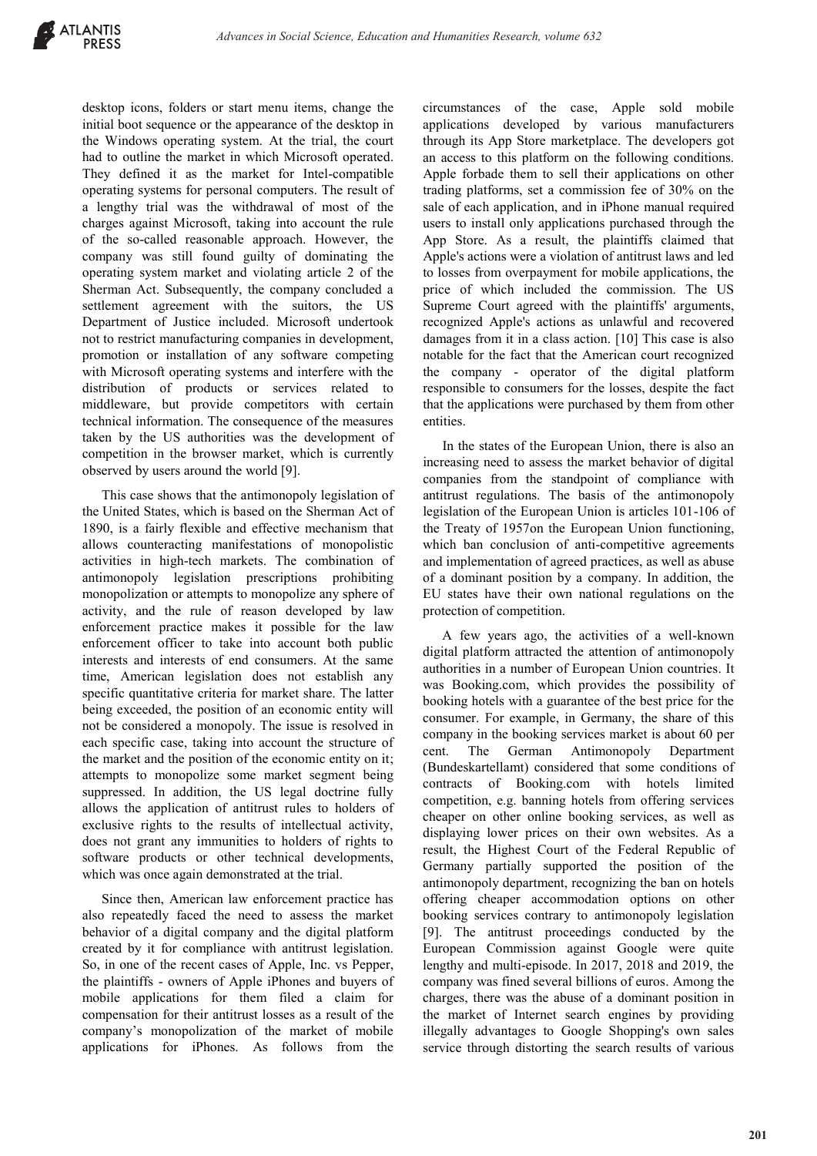desktop icons, folders or start menu items, change the initial boot sequence or the appearance of the desktop in the Windows operating system. At the trial, the court had to outline the market in which Microsoft operated. They defined it as the market for Intel-compatible operating systems for personal computers. The result of a lengthy trial was the withdrawal of most of the charges against Microsoft, taking into account the rule of the so-called reasonable approach. However, the company was still found guilty of dominating the operating system market and violating article 2 of the Sherman Act. Subsequently, the company concluded a settlement agreement with the suitors, the US Department of Justice included. Microsoft undertook not to restrict manufacturing companies in development, promotion or installation of any software competing with Microsoft operating systems and interfere with the distribution of products or services related to middleware, but provide competitors with certain technical information. The consequence of the measures taken by the US authorities was the development of competition in the browser market, which is currently observed by users around the world [9].

This case shows that the antimonopoly legislation of the United States, which is based on the Sherman Act of 1890, is a fairly flexible and effective mechanism that allows counteracting manifestations of monopolistic activities in high-tech markets. The combination of antimonopoly legislation prescriptions prohibiting monopolization or attempts to monopolize any sphere of activity, and the rule of reason developed by law enforcement practice makes it possible for the law enforcement officer to take into account both public interests and interests of end consumers. At the same time, American legislation does not establish any specific quantitative criteria for market share. The latter being exceeded, the position of an economic entity will not be considered a monopoly. The issue is resolved in each specific case, taking into account the structure of the market and the position of the economic entity on it; attempts to monopolize some market segment being suppressed. In addition, the US legal doctrine fully allows the application of antitrust rules to holders of exclusive rights to the results of intellectual activity, does not grant any immunities to holders of rights to software products or other technical developments, which was once again demonstrated at the trial.

Since then, American law enforcement practice has also repeatedly faced the need to assess the market behavior of a digital company and the digital platform created by it for compliance with antitrust legislation. So, in one of the recent cases of Apple, Inc. vs Pepper, the plaintiffs - owners of Apple iPhones and buyers of mobile applications for them filed a claim for compensation for their antitrust losses as a result of the company's monopolization of the market of mobile applications for iPhones. As follows from the circumstances of the case, Apple sold mobile applications developed by various manufacturers through its App Store marketplace. The developers got an access to this platform on the following conditions. Apple forbade them to sell their applications on other trading platforms, set a commission fee of 30% on the sale of each application, and in iPhone manual required users to install only applications purchased through the App Store. As a result, the plaintiffs claimed that Apple's actions were a violation of antitrust laws and led to losses from overpayment for mobile applications, the price of which included the commission. The US Supreme Court agreed with the plaintiffs' arguments, recognized Apple's actions as unlawful and recovered damages from it in a class action. [10] This case is also notable for the fact that the American court recognized the company - operator of the digital platform responsible to consumers for the losses, despite the fact that the applications were purchased by them from other entities.

In the states of the European Union, there is also an increasing need to assess the market behavior of digital companies from the standpoint of compliance with antitrust regulations. The basis of the antimonopoly legislation of the European Union is articles 101-106 of the Treaty of 1957on the European Union functioning, which ban conclusion of anti-competitive agreements and implementation of agreed practices, as well as abuse of a dominant position by a company. In addition, the EU states have their own national regulations on the protection of competition.

A few years ago, the activities of a well-known digital platform attracted the attention of antimonopoly authorities in a number of European Union countries. It was Booking.com, which provides the possibility of booking hotels with a guarantee of the best price for the consumer. For example, in Germany, the share of this company in the booking services market is about 60 per cent. The German Antimonopoly Department (Bundeskartellamt) considered that some conditions of contracts of Booking.com with hotels limited competition, e.g. banning hotels from offering services cheaper on other online booking services, as well as displaying lower prices on their own websites. As a result, the Highest Court of the Federal Republic of Germany partially supported the position of the antimonopoly department, recognizing the ban on hotels offering cheaper accommodation options on other booking services contrary to antimonopoly legislation [9]. The antitrust proceedings conducted by the European Commission against Google were quite lengthy and multi-episode. In 2017, 2018 and 2019, the company was fined several billions of euros. Among the charges, there was the abuse of a dominant position in the market of Internet search engines by providing illegally advantages to Google Shopping's own sales service through distorting the search results of various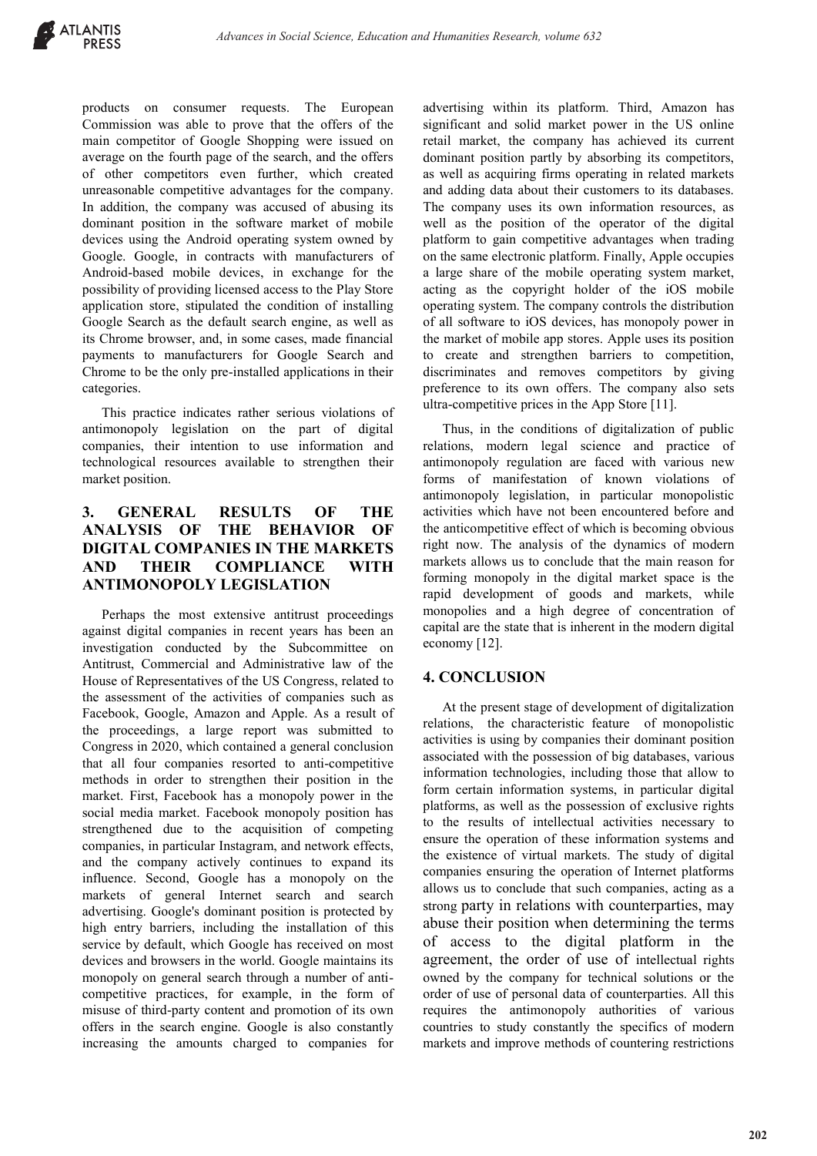products on consumer requests. The European Commission was able to prove that the offers of the main competitor of Google Shopping were issued on average on the fourth page of the search, and the offers of other competitors even further, which created unreasonable competitive advantages for the company. In addition, the company was accused of abusing its dominant position in the software market of mobile devices using the Android operating system owned by Google. Google, in contracts with manufacturers of Android-based mobile devices, in exchange for the possibility of providing licensed access to the Play Store application store, stipulated the condition of installing Google Search as the default search engine, as well as its Chrome browser, and, in some cases, made financial payments to manufacturers for Google Search and Chrome to be the only pre-installed applications in their categories.

This practice indicates rather serious violations of antimonopoly legislation on the part of digital companies, their intention to use information and technological resources available to strengthen their market position.

# **3. GENERAL RESULTS OF THE ANALYSIS OF THE BEHAVIOR OF DIGITAL COMPANIES IN THE MARKETS AND THEIR COMPLIANCE WITH ANTIMONOPOLY LEGISLATION**

Perhaps the most extensive antitrust proceedings against digital companies in recent years has been an investigation conducted by the Subcommittee on Antitrust, Commercial and Administrative law of the House of Representatives of the US Congress, related to the assessment of the activities of companies such as Facebook, Google, Amazon and Apple. As a result of the proceedings, a large report was submitted to Congress in 2020, which contained a general conclusion that all four companies resorted to anti-competitive methods in order to strengthen their position in the market. First, Facebook has a monopoly power in the social media market. Facebook monopoly position has strengthened due to the acquisition of competing companies, in particular Instagram, and network effects, and the company actively continues to expand its influence. Second, Google has a monopoly on the markets of general Internet search and search advertising. Google's dominant position is protected by high entry barriers, including the installation of this service by default, which Google has received on most devices and browsers in the world. Google maintains its monopoly on general search through a number of anticompetitive practices, for example, in the form of misuse of third-party content and promotion of its own offers in the search engine. Google is also constantly increasing the amounts charged to companies for

advertising within its platform. Third, Amazon has significant and solid market power in the US online retail market, the company has achieved its current dominant position partly by absorbing its competitors, as well as acquiring firms operating in related markets and adding data about their customers to its databases. The company uses its own information resources, as well as the position of the operator of the digital platform to gain competitive advantages when trading on the same electronic platform. Finally, Apple occupies a large share of the mobile operating system market, acting as the copyright holder of the iOS mobile operating system. The company controls the distribution of all software to iOS devices, has monopoly power in the market of mobile app stores. Apple uses its position to create and strengthen barriers to competition, discriminates and removes competitors by giving preference to its own offers. The company also sets ultra-competitive prices in the App Store [11].

Thus, in the conditions of digitalization of public relations, modern legal science and practice of antimonopoly regulation are faced with various new forms of manifestation of known violations of antimonopoly legislation, in particular monopolistic activities which have not been encountered before and the anticompetitive effect of which is becoming obvious right now. The analysis of the dynamics of modern markets allows us to conclude that the main reason for forming monopoly in the digital market space is the rapid development of goods and markets, while monopolies and a high degree of concentration of capital are the state that is inherent in the modern digital economy [12].

#### **4. CONCLUSION**

At the present stage of development of digitalization relations, the characteristic feature of monopolistic activities is using by companies their dominant position associated with the possession of big databases, various information technologies, including those that allow to form certain information systems, in particular digital platforms, as well as the possession of exclusive rights to the results of intellectual activities necessary to ensure the operation of these information systems and the existence of virtual markets. The study of digital companies ensuring the operation of Internet platforms allows us to conclude that such companies, acting as a strong party in relations with counterparties, may abuse their position when determining the terms of access to the digital platform in the agreement, the order of use of intellectual rights owned by the company for technical solutions or the order of use of personal data of counterparties. All this requires the antimonopoly authorities of various countries to study constantly the specifics of modern markets and improve methods of countering restrictions